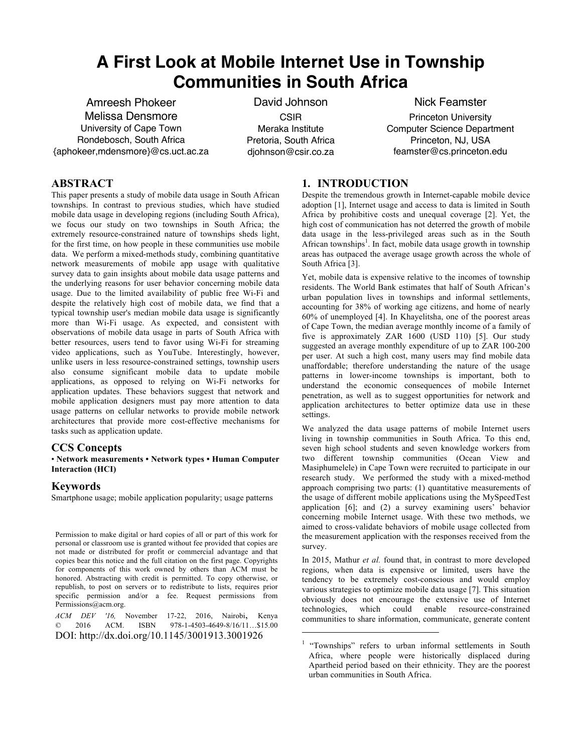# **A First Look at Mobile Internet Use in Township Communities in South Africa**

Amreesh Phokeer Melissa Densmore University of Cape Town Rondebosch, South Africa {aphokeer,mdensmore}@cs.uct.ac.za

David Johnson CSIR Meraka Institute Pretoria, South Africa djohnson@csir.co.za

 $\overline{a}$ 

# Nick Feamster

Princeton University Computer Science Department Princeton, NJ, USA feamster@cs.princeton.edu

# **ABSTRACT**

This paper presents a study of mobile data usage in South African townships. In contrast to previous studies, which have studied mobile data usage in developing regions (including South Africa), we focus our study on two townships in South Africa; the extremely resource-constrained nature of townships sheds light, for the first time, on how people in these communities use mobile data. We perform a mixed-methods study, combining quantitative network measurements of mobile app usage with qualitative survey data to gain insights about mobile data usage patterns and the underlying reasons for user behavior concerning mobile data usage. Due to the limited availability of public free Wi-Fi and despite the relatively high cost of mobile data, we find that a typical township user's median mobile data usage is significantly more than Wi-Fi usage. As expected, and consistent with observations of mobile data usage in parts of South Africa with better resources, users tend to favor using Wi-Fi for streaming video applications, such as YouTube. Interestingly, however, unlike users in less resource-constrained settings, township users also consume significant mobile data to update mobile applications, as opposed to relying on Wi-Fi networks for application updates. These behaviors suggest that network and mobile application designers must pay more attention to data usage patterns on cellular networks to provide mobile network architectures that provide more cost-effective mechanisms for tasks such as application update.

# **CCS Concepts**

• **Network measurements • Network types • Human Computer Interaction (HCI)** 

## **Keywords**

Smartphone usage; mobile application popularity; usage patterns

Permission to make digital or hard copies of all or part of this work for personal or classroom use is granted without fee provided that copies are not made or distributed for profit or commercial advantage and that copies bear this notice and the full citation on the first page. Copyrights for components of this work owned by others than ACM must be honored. Abstracting with credit is permitted. To copy otherwise, or republish, to post on servers or to redistribute to lists, requires prior specific permission and/or a fee. Request permissions from Permissions@acm.org.

*ACM DEV '16,* November 17-22, 2016, Nairobi, Kenya © 2016 ACM. ISBN 978-1-4503-4649-8/16/11…\$15.00 DOI: http://dx.doi.org/10.1145/3001913.3001926

# **1. INTRODUCTION**

Despite the tremendous growth in Internet-capable mobile device adoption [1], Internet usage and access to data is limited in South Africa by prohibitive costs and unequal coverage [2]. Yet, the high cost of communication has not deterred the growth of mobile data usage in the less-privileged areas such as in the South African townships<sup>1</sup>. In fact, mobile data usage growth in township areas has outpaced the average usage growth across the whole of South Africa [3].

Yet, mobile data is expensive relative to the incomes of township residents. The World Bank estimates that half of South African's urban population lives in townships and informal settlements, accounting for 38% of working age citizens, and home of nearly 60% of unemployed [4]. In Khayelitsha, one of the poorest areas of Cape Town, the median average monthly income of a family of five is approximately ZAR 1600 (USD 110) [5]. Our study suggested an average monthly expenditure of up to ZAR 100-200 per user. At such a high cost, many users may find mobile data unaffordable; therefore understanding the nature of the usage patterns in lower-income townships is important, both to understand the economic consequences of mobile Internet penetration, as well as to suggest opportunities for network and application architectures to better optimize data use in these settings.

We analyzed the data usage patterns of mobile Internet users living in township communities in South Africa. To this end, seven high school students and seven knowledge workers from two different township communities (Ocean View and Masiphumelele) in Cape Town were recruited to participate in our research study. We performed the study with a mixed-method approach comprising two parts: (1) quantitative measurements of the usage of different mobile applications using the MySpeedTest application [6]; and (2) a survey examining users' behavior concerning mobile Internet usage. With these two methods, we aimed to cross-validate behaviors of mobile usage collected from the measurement application with the responses received from the survey.

In 2015, Mathur *et al.* found that, in contrast to more developed regions, when data is expensive or limited, users have the tendency to be extremely cost-conscious and would employ various strategies to optimize mobile data usage [7]. This situation obviously does not encourage the extensive use of Internet technologies, which could enable resource-constrained communities to share information, communicate, generate content

<sup>&</sup>lt;sup>1</sup> "Townships" refers to urban informal settlements in South Africa, where people were historically displaced during Apartheid period based on their ethnicity. They are the poorest urban communities in South Africa.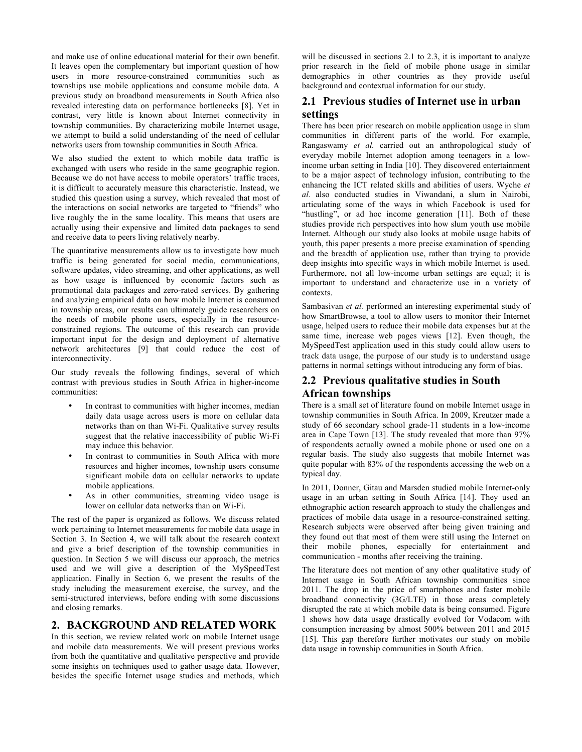and make use of online educational material for their own benefit. It leaves open the complementary but important question of how users in more resource-constrained communities such as townships use mobile applications and consume mobile data. A previous study on broadband measurements in South Africa also revealed interesting data on performance bottlenecks [8]. Yet in contrast, very little is known about Internet connectivity in township communities. By characterizing mobile Internet usage, we attempt to build a solid understanding of the need of cellular networks users from township communities in South Africa.

We also studied the extent to which mobile data traffic is exchanged with users who reside in the same geographic region. Because we do not have access to mobile operators' traffic traces, it is difficult to accurately measure this characteristic. Instead, we studied this question using a survey, which revealed that most of the interactions on social networks are targeted to "friends" who live roughly the in the same locality. This means that users are actually using their expensive and limited data packages to send and receive data to peers living relatively nearby.

The quantitative measurements allow us to investigate how much traffic is being generated for social media, communications, software updates, video streaming, and other applications, as well as how usage is influenced by economic factors such as promotional data packages and zero-rated services. By gathering and analyzing empirical data on how mobile Internet is consumed in township areas, our results can ultimately guide researchers on the needs of mobile phone users, especially in the resourceconstrained regions. The outcome of this research can provide important input for the design and deployment of alternative network architectures [9] that could reduce the cost of interconnectivity.

Our study reveals the following findings, several of which contrast with previous studies in South Africa in higher-income communities:

- In contrast to communities with higher incomes, median daily data usage across users is more on cellular data networks than on than Wi-Fi. Qualitative survey results suggest that the relative inaccessibility of public Wi-Fi may induce this behavior.
- In contrast to communities in South Africa with more resources and higher incomes, township users consume significant mobile data on cellular networks to update mobile applications.
- As in other communities, streaming video usage is lower on cellular data networks than on Wi-Fi.

The rest of the paper is organized as follows. We discuss related work pertaining to Internet measurements for mobile data usage in Section 3. In Section 4, we will talk about the research context and give a brief description of the township communities in question. In Section 5 we will discuss our approach, the metrics used and we will give a description of the MySpeedTest application. Finally in Section 6, we present the results of the study including the measurement exercise, the survey, and the semi-structured interviews, before ending with some discussions and closing remarks.

## **2. BACKGROUND AND RELATED WORK**

In this section, we review related work on mobile Internet usage and mobile data measurements. We will present previous works from both the quantitative and qualitative perspective and provide some insights on techniques used to gather usage data. However, besides the specific Internet usage studies and methods, which

will be discussed in sections 2.1 to 2.3, it is important to analyze prior research in the field of mobile phone usage in similar demographics in other countries as they provide useful background and contextual information for our study.

# **2.1 Previous studies of Internet use in urban settings**

There has been prior research on mobile application usage in slum communities in different parts of the world. For example, Rangaswamy *et al.* carried out an anthropological study of everyday mobile Internet adoption among teenagers in a lowincome urban setting in India [10]. They discovered entertainment to be a major aspect of technology infusion, contributing to the enhancing the ICT related skills and abilities of users. Wyche *et al.* also conducted studies in Viwandani, a slum in Nairobi, articulating some of the ways in which Facebook is used for "hustling", or ad hoc income generation [11]. Both of these studies provide rich perspectives into how slum youth use mobile Internet. Although our study also looks at mobile usage habits of youth, this paper presents a more precise examination of spending and the breadth of application use, rather than trying to provide deep insights into specific ways in which mobile Internet is used. Furthermore, not all low-income urban settings are equal; it is important to understand and characterize use in a variety of contexts.

Sambasivan *et al.* performed an interesting experimental study of how SmartBrowse, a tool to allow users to monitor their Internet usage, helped users to reduce their mobile data expenses but at the same time, increase web pages views [12]. Even though, the MySpeedTest application used in this study could allow users to track data usage, the purpose of our study is to understand usage patterns in normal settings without introducing any form of bias.

# **2.2 Previous qualitative studies in South African townships**

There is a small set of literature found on mobile Internet usage in township communities in South Africa. In 2009, Kreutzer made a study of 66 secondary school grade-11 students in a low-income area in Cape Town [13]. The study revealed that more than 97% of respondents actually owned a mobile phone or used one on a regular basis. The study also suggests that mobile Internet was quite popular with 83% of the respondents accessing the web on a typical day.

In 2011, Donner, Gitau and Marsden studied mobile Internet-only usage in an urban setting in South Africa [14]. They used an ethnographic action research approach to study the challenges and practices of mobile data usage in a resource-constrained setting. Research subjects were observed after being given training and they found out that most of them were still using the Internet on their mobile phones, especially for entertainment and communication - months after receiving the training.

The literature does not mention of any other qualitative study of Internet usage in South African township communities since 2011. The drop in the price of smartphones and faster mobile broadband connectivity (3G/LTE) in those areas completely disrupted the rate at which mobile data is being consumed. Figure 1 shows how data usage drastically evolved for Vodacom with consumption increasing by almost 500% between 2011 and 2015 [15]. This gap therefore further motivates our study on mobile data usage in township communities in South Africa.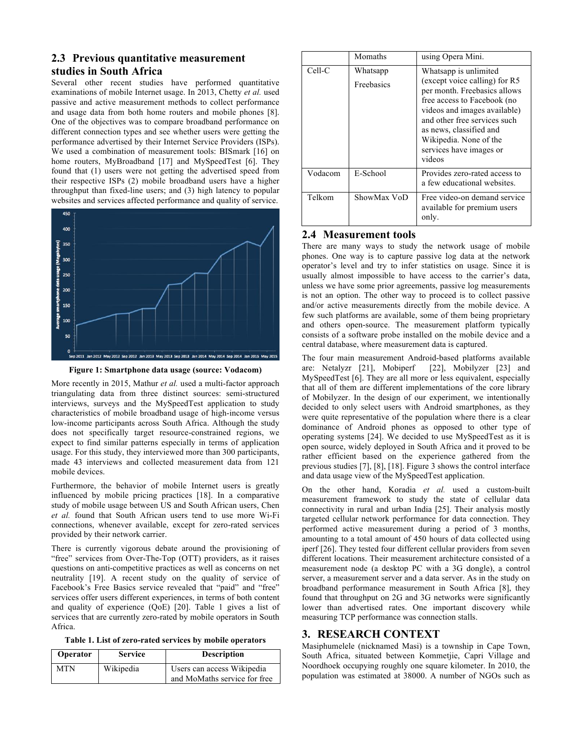# **2.3 Previous quantitative measurement studies in South Africa**

Several other recent studies have performed quantitative examinations of mobile Internet usage. In 2013, Chetty *et al.* used passive and active measurement methods to collect performance and usage data from both home routers and mobile phones [8]. One of the objectives was to compare broadband performance on different connection types and see whether users were getting the performance advertised by their Internet Service Providers (ISPs). We used a combination of measurement tools: BISmark [16] on home routers, MyBroadband [17] and MySpeedTest [6]. They found that (1) users were not getting the advertised speed from their respective ISPs (2) mobile broadband users have a higher throughput than fixed-line users; and (3) high latency to popular websites and services affected performance and quality of service.



**Figure 1: Smartphone data usage (source: Vodacom)**

More recently in 2015, Mathur *et al.* used a multi-factor approach triangulating data from three distinct sources: semi-structured interviews, surveys and the MySpeedTest application to study characteristics of mobile broadband usage of high-income versus low-income participants across South Africa. Although the study does not specifically target resource-constrained regions, we expect to find similar patterns especially in terms of application usage. For this study, they interviewed more than 300 participants, made 43 interviews and collected measurement data from 121 mobile devices.

Furthermore, the behavior of mobile Internet users is greatly influenced by mobile pricing practices [18]. In a comparative study of mobile usage between US and South African users, Chen *et al.* found that South African users tend to use more Wi-Fi connections, whenever available, except for zero-rated services provided by their network carrier.

There is currently vigorous debate around the provisioning of "free" services from Over-The-Top (OTT) providers, as it raises questions on anti-competitive practices as well as concerns on net neutrality [19]. A recent study on the quality of service of Facebook's Free Basics service revealed that "paid" and "free" services offer users different experiences, in terms of both content and quality of experience (QoE) [20]. Table 1 gives a list of services that are currently zero-rated by mobile operators in South Africa.

**Table 1. List of zero-rated services by mobile operators**

| <b>Operator</b> | <b>Service</b> | <b>Description</b>           |
|-----------------|----------------|------------------------------|
| <b>MTN</b>      | Wikipedia      | Users can access Wikipedia   |
|                 |                | and MoMaths service for free |

|         | Momaths                | using Opera Mini.                                                                                                                                                                                                                                                               |
|---------|------------------------|---------------------------------------------------------------------------------------------------------------------------------------------------------------------------------------------------------------------------------------------------------------------------------|
| Cell-C  | Whatsapp<br>Freebasics | Whatsapp is unlimited<br>(except voice calling) for R5<br>per month. Freebasics allows<br>free access to Facebook (no<br>videos and images available)<br>and other free services such<br>as news, classified and<br>Wikipedia. None of the<br>services have images or<br>videos |
| Vodacom | E-School               | Provides zero-rated access to<br>a few educational websites.                                                                                                                                                                                                                    |
| Telkom  | ShowMax VoD            | Free video-on demand service<br>available for premium users<br>only.                                                                                                                                                                                                            |

## **2.4 Measurement tools**

There are many ways to study the network usage of mobile phones. One way is to capture passive log data at the network operator's level and try to infer statistics on usage. Since it is usually almost impossible to have access to the carrier's data, unless we have some prior agreements, passive log measurements is not an option. The other way to proceed is to collect passive and/or active measurements directly from the mobile device. A few such platforms are available, some of them being proprietary and others open-source. The measurement platform typically consists of a software probe installed on the mobile device and a central database, where measurement data is captured.

The four main measurement Android-based platforms available are: Netalyzr [21], Mobiperf [22], Mobilyzer [23] and MySpeedTest [6]. They are all more or less equivalent, especially that all of them are different implementations of the core library of Mobilyzer. In the design of our experiment, we intentionally decided to only select users with Android smartphones, as they were quite representative of the population where there is a clear dominance of Android phones as opposed to other type of operating systems [24]. We decided to use MySpeedTest as it is open source, widely deployed in South Africa and it proved to be rather efficient based on the experience gathered from the previous studies [7], [8], [18]. Figure 3 shows the control interface and data usage view of the MySpeedTest application.

On the other hand, Koradia *et al.* used a custom-built measurement framework to study the state of cellular data connectivity in rural and urban India [25]. Their analysis mostly targeted cellular network performance for data connection. They performed active measurement during a period of 3 months, amounting to a total amount of 450 hours of data collected using iperf [26]. They tested four different cellular providers from seven different locations. Their measurement architecture consisted of a measurement node (a desktop PC with a 3G dongle), a control server, a measurement server and a data server. As in the study on broadband performance measurement in South Africa [8], they found that throughput on 2G and 3G networks were significantly lower than advertised rates. One important discovery while measuring TCP performance was connection stalls.

# **3. RESEARCH CONTEXT**

Masiphumelele (nicknamed Masi) is a township in Cape Town, South Africa, situated between Kommetjie, Capri Village and Noordhoek occupying roughly one square kilometer. In 2010, the population was estimated at 38000. A number of NGOs such as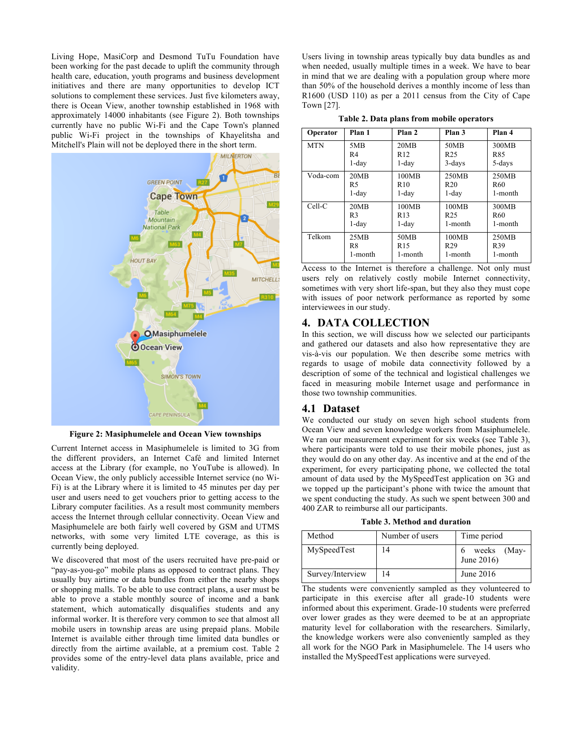Living Hope, MasiCorp and Desmond TuTu Foundation have been working for the past decade to uplift the community through health care, education, youth programs and business development initiatives and there are many opportunities to develop ICT solutions to complement these services. Just five kilometers away, there is Ocean View, another township established in 1968 with approximately 14000 inhabitants (see Figure 2). Both townships currently have no public Wi-Fi and the Cape Town's planned public Wi-Fi project in the townships of Khayelitsha and Mitchell's Plain will not be deployed there in the short term.



**Figure 2: Masiphumelele and Ocean View townships**

Current Internet access in Masiphumelele is limited to 3G from the different providers, an Internet Café and limited Internet access at the Library (for example, no YouTube is allowed). In Ocean View, the only publicly accessible Internet service (no Wi-Fi) is at the Library where it is limited to 45 minutes per day per user and users need to get vouchers prior to getting access to the Library computer facilities. As a result most community members access the Internet through cellular connectivity. Ocean View and Masiphumelele are both fairly well covered by GSM and UTMS networks, with some very limited LTE coverage, as this is currently being deployed.

We discovered that most of the users recruited have pre-paid or "pay-as-you-go" mobile plans as opposed to contract plans. They usually buy airtime or data bundles from either the nearby shops or shopping malls. To be able to use contract plans, a user must be able to prove a stable monthly source of income and a bank statement, which automatically disqualifies students and any informal worker. It is therefore very common to see that almost all mobile users in township areas are using prepaid plans. Mobile Internet is available either through time limited data bundles or directly from the airtime available, at a premium cost. Table 2 provides some of the entry-level data plans available, price and validity.

Users living in township areas typically buy data bundles as and when needed, usually multiple times in a week. We have to bear in mind that we are dealing with a population group where more than 50% of the household derives a monthly income of less than R1600 (USD 110) as per a 2011 census from the City of Cape Town [27].

| Operator   | Plan 1         | Plan 2          | Plan <sub>3</sub> | Plan 4          |
|------------|----------------|-----------------|-------------------|-----------------|
| <b>MTN</b> | 5MB            | 20MB            | 50MB              | 300MB           |
|            | R4             | R <sub>12</sub> | R <sub>25</sub>   | R85             |
|            | $1$ -dav       | 1-day           | 3-days            | 5-days          |
| Voda-com   | 20MB           | 100MB           | 250MB             | 250MB           |
|            | R5             | R <sub>10</sub> | R20               | R <sub>60</sub> |
|            | $1$ -dav       | 1-day           | $1$ -dav          | 1-month         |
| Cell-C     | 20MB           | 100MB           | 100MB             | 300MB           |
|            | R <sub>3</sub> | R <sub>13</sub> | R <sub>25</sub>   | R60             |
|            | $1$ -dav       | 1-day           | 1-month           | 1-month         |
| Telkom     | 25MB           | 50MB            | 100MB             | 250MB           |
|            | R8             | R <sub>15</sub> | R <sub>29</sub>   | R39             |
|            | 1-month        | 1-month         | 1-month           | 1-month         |

Access to the Internet is therefore a challenge. Not only must users rely on relatively costly mobile Internet connectivity, sometimes with very short life-span, but they also they must cope with issues of poor network performance as reported by some interviewees in our study.

#### **4. DATA COLLECTION**

In this section, we will discuss how we selected our participants and gathered our datasets and also how representative they are vis-à-vis our population. We then describe some metrics with regards to usage of mobile data connectivity followed by a description of some of the technical and logistical challenges we faced in measuring mobile Internet usage and performance in those two township communities.

#### **4.1 Dataset**

We conducted our study on seven high school students from Ocean View and seven knowledge workers from Masiphumelele. We ran our measurement experiment for six weeks (see Table 3), where participants were told to use their mobile phones, just as they would do on any other day. As incentive and at the end of the experiment, for every participating phone, we collected the total amount of data used by the MySpeedTest application on 3G and we topped up the participant's phone with twice the amount that we spent conducting the study. As such we spent between 300 and 400 ZAR to reimburse all our participants.

**Table 3. Method and duration**

| Method           | Number of users | Time period                 |
|------------------|-----------------|-----------------------------|
| MySpeedTest      | 14              | 6 weeks (May-<br>June 2016) |
| Survey/Interview | 14              | June 2016                   |

The students were conveniently sampled as they volunteered to participate in this exercise after all grade-10 students were informed about this experiment. Grade-10 students were preferred over lower grades as they were deemed to be at an appropriate maturity level for collaboration with the researchers. Similarly, the knowledge workers were also conveniently sampled as they all work for the NGO Park in Masiphumelele. The 14 users who installed the MySpeedTest applications were surveyed.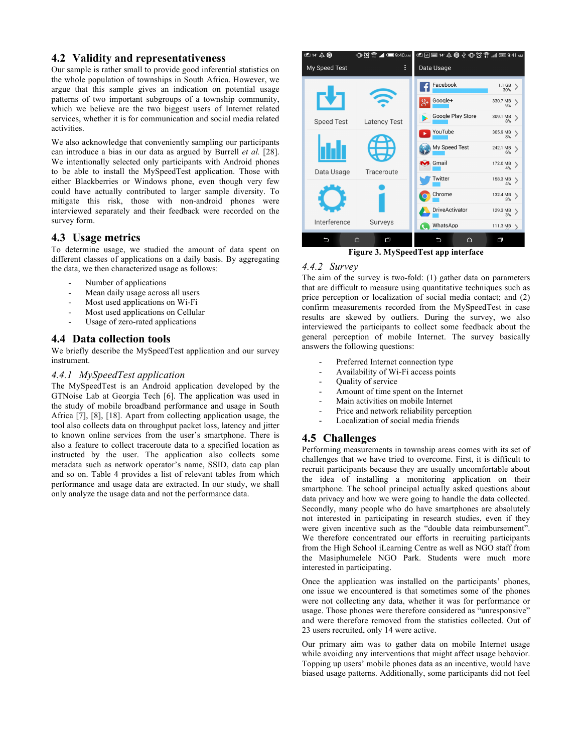## **4.2 Validity and representativeness**

Our sample is rather small to provide good inferential statistics on the whole population of townships in South Africa. However, we argue that this sample gives an indication on potential usage patterns of two important subgroups of a township community, which we believe are the two biggest users of Internet related services, whether it is for communication and social media related activities.

We also acknowledge that conveniently sampling our participants can introduce a bias in our data as argued by Burrell *et al.* [28]. We intentionally selected only participants with Android phones to be able to install the MySpeedTest application. Those with either Blackberries or Windows phone, even though very few could have actually contributed to larger sample diversity. To mitigate this risk, those with non-android phones were interviewed separately and their feedback were recorded on the survey form.

## **4.3 Usage metrics**

To determine usage, we studied the amount of data spent on different classes of applications on a daily basis. By aggregating the data, we then characterized usage as follows:

- Number of applications
- Mean daily usage across all users
- Most used applications on Wi-Fi
- Most used applications on Cellular
- Usage of zero-rated applications

## **4.4 Data collection tools**

We briefly describe the MySpeedTest application and our survey instrument.

#### *4.4.1 MySpeedTest application*

The MySpeedTest is an Android application developed by the GTNoise Lab at Georgia Tech [6]. The application was used in the study of mobile broadband performance and usage in South Africa [7], [8], [18]. Apart from collecting application usage, the tool also collects data on throughput packet loss, latency and jitter to known online services from the user's smartphone. There is also a feature to collect traceroute data to a specified location as instructed by the user. The application also collects some metadata such as network operator's name, SSID, data cap plan and so on. Table 4 provides a list of relevant tables from which performance and usage data are extracted. In our study, we shall only analyze the usage data and not the performance data.



### **Figure 3. MySpeedTest app interface**

#### *4.4.2 Survey*

The aim of the survey is two-fold: (1) gather data on parameters that are difficult to measure using quantitative techniques such as price perception or localization of social media contact; and (2) confirm measurements recorded from the MySpeedTest in case results are skewed by outliers. During the survey, we also interviewed the participants to collect some feedback about the general perception of mobile Internet. The survey basically answers the following questions:

- Preferred Internet connection type
- Availability of Wi-Fi access points
- Quality of service
- Amount of time spent on the Internet
- Main activities on mobile Internet
- Price and network reliability perception
- Localization of social media friends

## **4.5 Challenges**

Performing measurements in township areas comes with its set of challenges that we have tried to overcome. First, it is difficult to recruit participants because they are usually uncomfortable about the idea of installing a monitoring application on their smartphone. The school principal actually asked questions about data privacy and how we were going to handle the data collected. Secondly, many people who do have smartphones are absolutely not interested in participating in research studies, even if they were given incentive such as the "double data reimbursement". We therefore concentrated our efforts in recruiting participants from the High School iLearning Centre as well as NGO staff from the Masiphumelele NGO Park. Students were much more interested in participating.

Once the application was installed on the participants' phones, one issue we encountered is that sometimes some of the phones were not collecting any data, whether it was for performance or usage. Those phones were therefore considered as "unresponsive" and were therefore removed from the statistics collected. Out of 23 users recruited, only 14 were active.

Our primary aim was to gather data on mobile Internet usage while avoiding any interventions that might affect usage behavior. Topping up users' mobile phones data as an incentive, would have biased usage patterns. Additionally, some participants did not feel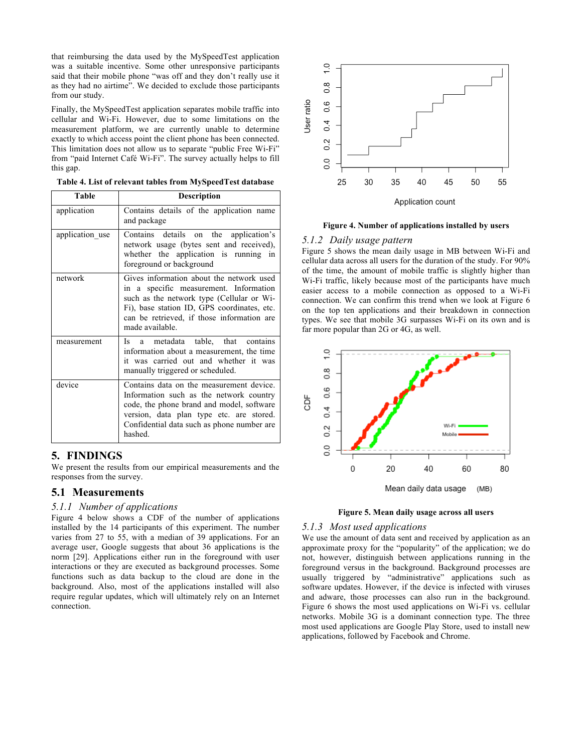that reimbursing the data used by the MySpeedTest application was a suitable incentive. Some other unresponsive participants said that their mobile phone "was off and they don't really use it as they had no airtime". We decided to exclude those participants from our study.

Finally, the MySpeedTest application separates mobile traffic into cellular and Wi-Fi. However, due to some limitations on the measurement platform, we are currently unable to determine exactly to which access point the client phone has been connected. This limitation does not allow us to separate "public Free Wi-Fi" from "paid Internet Café Wi-Fi". The survey actually helps to fill this gap.

**Table 4. List of relevant tables from MySpeedTest database**

| <b>Table</b>    | <b>Description</b>                                                                                                                                                                                                                              |  |
|-----------------|-------------------------------------------------------------------------------------------------------------------------------------------------------------------------------------------------------------------------------------------------|--|
| application     | Contains details of the application name<br>and package                                                                                                                                                                                         |  |
| application use | Contains details on the application's<br>network usage (bytes sent and received),<br>whether the application is running in<br>foreground or background                                                                                          |  |
| network         | Gives information about the network used<br>in a specific measurement. Information<br>such as the network type (Cellular or Wi-<br>Fi), base station ID, GPS coordinates, etc.<br>can be retrieved, if those information are<br>made available. |  |
| measurement     | metadata table, that contains<br>Is.<br>a -<br>information about a measurement, the time<br>it was carried out and whether it was<br>manually triggered or scheduled.                                                                           |  |
| device          | Contains data on the measurement device.<br>Information such as the network country<br>code, the phone brand and model, software<br>version, data plan type etc. are stored.<br>Confidential data such as phone number are.<br>hashed.          |  |

## **5. FINDINGS**

We present the results from our empirical measurements and the responses from the survey.

## **5.1 Measurements**

### *5.1.1 Number of applications*

Figure 4 below shows a CDF of the number of applications installed by the 14 participants of this experiment. The number varies from 27 to 55, with a median of 39 applications. For an average user, Google suggests that about 36 applications is the norm [29]. Applications either run in the foreground with user interactions or they are executed as background processes. Some functions such as data backup to the cloud are done in the background. Also, most of the applications installed will also require regular updates, which will ultimately rely on an Internet connection.



**Figure 4. Number of applications installed by users**

#### *5.1.2 Daily usage pattern*

Figure 5 shows the mean daily usage in MB between Wi-Fi and cellular data across all users for the duration of the study. For 90% of the time, the amount of mobile traffic is slightly higher than Wi-Fi traffic, likely because most of the participants have much easier access to a mobile connection as opposed to a Wi-Fi connection. We can confirm this trend when we look at Figure 6 on the top ten applications and their breakdown in connection types. We see that mobile 3G surpasses Wi-Fi on its own and is far more popular than 2G or 4G, as well.



**Figure 5. Mean daily usage across all users**

#### *5.1.3 Most used applications*

We use the amount of data sent and received by application as an approximate proxy for the "popularity" of the application; we do not, however, distinguish between applications running in the foreground versus in the background. Background processes are usually triggered by "administrative" applications such as software updates. However, if the device is infected with viruses and adware, those processes can also run in the background. Figure 6 shows the most used applications on Wi-Fi vs. cellular networks. Mobile 3G is a dominant connection type. The three most used applications are Google Play Store, used to install new applications, followed by Facebook and Chrome.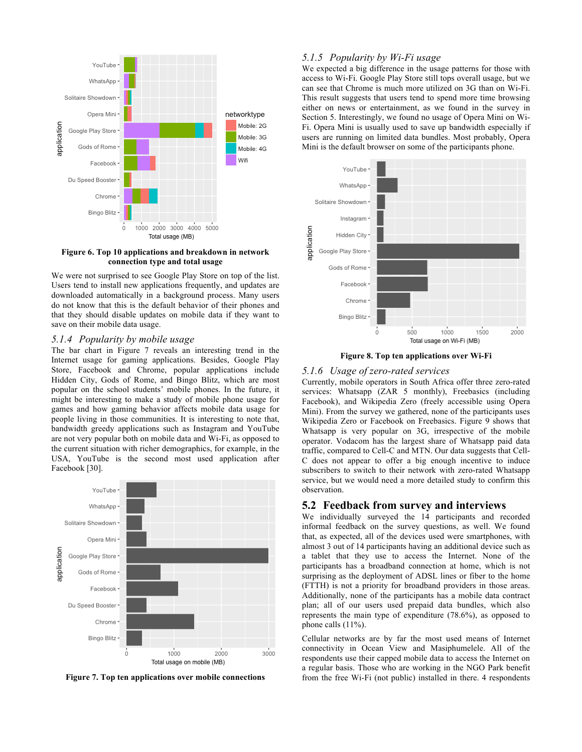

**Figure 6. Top 10 applications and breakdown in network connection type and total usage**

We were not surprised to see Google Play Store on top of the list. Users tend to install new applications frequently, and updates are downloaded automatically in a background process. Many users do not know that this is the default behavior of their phones and that they should disable updates on mobile data if they want to save on their mobile data usage.

#### *5.1.4 Popularity by mobile usage*

The bar chart in Figure 7 reveals an interesting trend in the Internet usage for gaming applications. Besides, Google Play Store, Facebook and Chrome, popular applications include Hidden City, Gods of Rome, and Bingo Blitz, which are most popular on the school students' mobile phones. In the future, it might be interesting to make a study of mobile phone usage for games and how gaming behavior affects mobile data usage for people living in those communities. It is interesting to note that, bandwidth greedy applications such as Instagram and YouTube are not very popular both on mobile data and Wi-Fi, as opposed to the current situation with richer demographics, for example, in the USA, YouTube is the second most used application after Facebook [30].



**Figure 7. Top ten applications over mobile connections**

#### *5.1.5 Popularity by Wi-Fi usage*

We expected a big difference in the usage patterns for those with access to Wi-Fi. Google Play Store still tops overall usage, but we can see that Chrome is much more utilized on 3G than on Wi-Fi. This result suggests that users tend to spend more time browsing either on news or entertainment, as we found in the survey in Section 5. Interestingly, we found no usage of Opera Mini on Wi-Fi. Opera Mini is usually used to save up bandwidth especially if users are running on limited data bundles. Most probably, Opera Mini is the default browser on some of the participants phone.



**Figure 8. Top ten applications over Wi-Fi**

#### *5.1.6 Usage of zero-rated services*

Currently, mobile operators in South Africa offer three zero-rated services: Whatsapp (ZAR 5 monthly), Freebasics (including Facebook), and Wikipedia Zero (freely accessible using Opera Mini). From the survey we gathered, none of the participants uses Wikipedia Zero or Facebook on Freebasics. Figure 9 shows that Whatsapp is very popular on 3G, irrespective of the mobile operator. Vodacom has the largest share of Whatsapp paid data traffic, compared to Cell-C and MTN. Our data suggests that Cell-C does not appear to offer a big enough incentive to induce subscribers to switch to their network with zero-rated Whatsapp service, but we would need a more detailed study to confirm this observation.

#### **5.2 Feedback from survey and interviews**

We individually surveyed the 14 participants and recorded informal feedback on the survey questions, as well. We found that, as expected, all of the devices used were smartphones, with almost 3 out of 14 participants having an additional device such as a tablet that they use to access the Internet. None of the participants has a broadband connection at home, which is not surprising as the deployment of ADSL lines or fiber to the home (FTTH) is not a priority for broadband providers in those areas. Additionally, none of the participants has a mobile data contract plan; all of our users used prepaid data bundles, which also represents the main type of expenditure (78.6%), as opposed to phone calls (11%).

Cellular networks are by far the most used means of Internet connectivity in Ocean View and Masiphumelele. All of the respondents use their capped mobile data to access the Internet on a regular basis. Those who are working in the NGO Park benefit from the free Wi-Fi (not public) installed in there. 4 respondents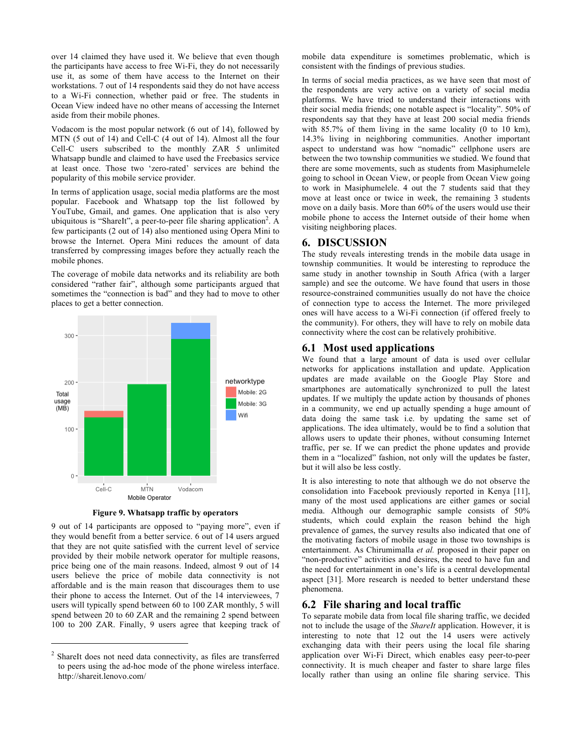over 14 claimed they have used it. We believe that even though the participants have access to free Wi-Fi, they do not necessarily use it, as some of them have access to the Internet on their workstations. 7 out of 14 respondents said they do not have access to a Wi-Fi connection, whether paid or free. The students in Ocean View indeed have no other means of accessing the Internet aside from their mobile phones.

Vodacom is the most popular network (6 out of 14), followed by MTN (5 out of 14) and Cell-C (4 out of 14). Almost all the four Cell-C users subscribed to the monthly ZAR 5 unlimited Whatsapp bundle and claimed to have used the Freebasics service at least once. Those two 'zero-rated' services are behind the popularity of this mobile service provider.

In terms of application usage, social media platforms are the most popular. Facebook and Whatsapp top the list followed by YouTube, Gmail, and games. One application that is also very ubiquitous is "ShareIt", a peer-to-peer file sharing application<sup>2</sup>. A few participants (2 out of 14) also mentioned using Opera Mini to browse the Internet. Opera Mini reduces the amount of data transferred by compressing images before they actually reach the mobile phones.

The coverage of mobile data networks and its reliability are both considered "rather fair", although some participants argued that sometimes the "connection is bad" and they had to move to other places to get a better connection.



**Figure 9. Whatsapp traffic by operators**

9 out of 14 participants are opposed to "paying more", even if they would benefit from a better service. 6 out of 14 users argued that they are not quite satisfied with the current level of service provided by their mobile network operator for multiple reasons, price being one of the main reasons. Indeed, almost 9 out of 14 users believe the price of mobile data connectivity is not affordable and is the main reason that discourages them to use their phone to access the Internet. Out of the 14 interviewees, 7 users will typically spend between 60 to 100 ZAR monthly, 5 will spend between 20 to 60 ZAR and the remaining 2 spend between 100 to 200 ZAR. Finally, 9 users agree that keeping track of

 $\overline{a}$ 

mobile data expenditure is sometimes problematic, which is consistent with the findings of previous studies.

In terms of social media practices, as we have seen that most of the respondents are very active on a variety of social media platforms. We have tried to understand their interactions with their social media friends; one notable aspect is "locality". 50% of respondents say that they have at least 200 social media friends with 85.7% of them living in the same locality (0 to 10 km), 14.3% living in neighboring communities. Another important aspect to understand was how "nomadic" cellphone users are between the two township communities we studied. We found that there are some movements, such as students from Masiphumelele going to school in Ocean View, or people from Ocean View going to work in Masiphumelele. 4 out the 7 students said that they move at least once or twice in week, the remaining 3 students move on a daily basis. More than 60% of the users would use their mobile phone to access the Internet outside of their home when visiting neighboring places.

#### **6. DISCUSSION**

The study reveals interesting trends in the mobile data usage in township communities. It would be interesting to reproduce the same study in another township in South Africa (with a larger sample) and see the outcome. We have found that users in those resource-constrained communities usually do not have the choice of connection type to access the Internet. The more privileged ones will have access to a Wi-Fi connection (if offered freely to the community). For others, they will have to rely on mobile data connectivity where the cost can be relatively prohibitive.

#### **6.1 Most used applications**

We found that a large amount of data is used over cellular networks for applications installation and update. Application updates are made available on the Google Play Store and smartphones are automatically synchronized to pull the latest updates. If we multiply the update action by thousands of phones in a community, we end up actually spending a huge amount of data doing the same task i.e. by updating the same set of applications. The idea ultimately, would be to find a solution that allows users to update their phones, without consuming Internet traffic, per se. If we can predict the phone updates and provide them in a "localized" fashion, not only will the updates be faster, but it will also be less costly.

It is also interesting to note that although we do not observe the consolidation into Facebook previously reported in Kenya [11], many of the most used applications are either games or social media. Although our demographic sample consists of 50% students, which could explain the reason behind the high prevalence of games, the survey results also indicated that one of the motivating factors of mobile usage in those two townships is entertainment. As Chirumimalla *et al.* proposed in their paper on "non-productive" activities and desires, the need to have fun and the need for entertainment in one's life is a central developmental aspect [31]. More research is needed to better understand these phenomena.

#### **6.2 File sharing and local traffic**

To separate mobile data from local file sharing traffic, we decided not to include the usage of the *ShareIt* application. However, it is interesting to note that 12 out the 14 users were actively exchanging data with their peers using the local file sharing application over Wi-Fi Direct, which enables easy peer-to-peer connectivity. It is much cheaper and faster to share large files locally rather than using an online file sharing service. This

<sup>&</sup>lt;sup>2</sup> ShareIt does not need data connectivity, as files are transferred to peers using the ad-hoc mode of the phone wireless interface. http://shareit.lenovo.com/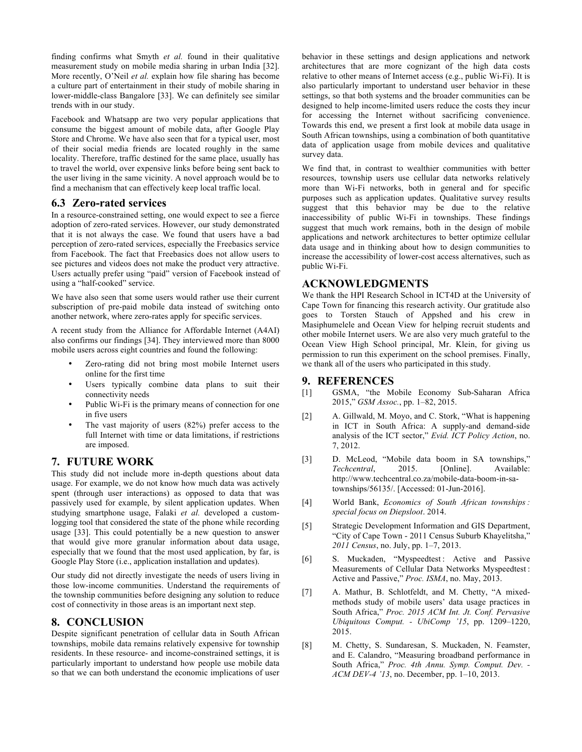finding confirms what Smyth *et al.* found in their qualitative measurement study on mobile media sharing in urban India [32]. More recently, O'Neil *et al.* explain how file sharing has become a culture part of entertainment in their study of mobile sharing in lower-middle-class Bangalore [33]. We can definitely see similar trends with in our study.

Facebook and Whatsapp are two very popular applications that consume the biggest amount of mobile data, after Google Play Store and Chrome. We have also seen that for a typical user, most of their social media friends are located roughly in the same locality. Therefore, traffic destined for the same place, usually has to travel the world, over expensive links before being sent back to the user living in the same vicinity. A novel approach would be to find a mechanism that can effectively keep local traffic local.

## **6.3 Zero-rated services**

In a resource-constrained setting, one would expect to see a fierce adoption of zero-rated services. However, our study demonstrated that it is not always the case. We found that users have a bad perception of zero-rated services, especially the Freebasics service from Facebook. The fact that Freebasics does not allow users to see pictures and videos does not make the product very attractive. Users actually prefer using "paid" version of Facebook instead of using a "half-cooked" service.

We have also seen that some users would rather use their current subscription of pre-paid mobile data instead of switching onto another network, where zero-rates apply for specific services.

A recent study from the Alliance for Affordable Internet (A4AI) also confirms our findings [34]. They interviewed more than 8000 mobile users across eight countries and found the following:

- Zero-rating did not bring most mobile Internet users online for the first time
- Users typically combine data plans to suit their connectivity needs
- Public Wi-Fi is the primary means of connection for one in five users
- The vast majority of users  $(82%)$  prefer access to the full Internet with time or data limitations, if restrictions are imposed.

# **7. FUTURE WORK**

This study did not include more in-depth questions about data usage. For example, we do not know how much data was actively spent (through user interactions) as opposed to data that was passively used for example, by silent application updates. When studying smartphone usage, Falaki *et al.* developed a customlogging tool that considered the state of the phone while recording usage [33]. This could potentially be a new question to answer that would give more granular information about data usage, especially that we found that the most used application, by far, is Google Play Store (i.e., application installation and updates).

Our study did not directly investigate the needs of users living in those low-income communities. Understand the requirements of the township communities before designing any solution to reduce cost of connectivity in those areas is an important next step.

# **8. CONCLUSION**

Despite significant penetration of cellular data in South African townships, mobile data remains relatively expensive for township residents. In these resource- and income-constrained settings, it is particularly important to understand how people use mobile data so that we can both understand the economic implications of user

behavior in these settings and design applications and network architectures that are more cognizant of the high data costs relative to other means of Internet access (e.g., public Wi-Fi). It is also particularly important to understand user behavior in these settings, so that both systems and the broader communities can be designed to help income-limited users reduce the costs they incur for accessing the Internet without sacrificing convenience. Towards this end, we present a first look at mobile data usage in South African townships, using a combination of both quantitative data of application usage from mobile devices and qualitative survey data.

We find that, in contrast to wealthier communities with better resources, township users use cellular data networks relatively more than Wi-Fi networks, both in general and for specific purposes such as application updates. Qualitative survey results suggest that this behavior may be due to the relative inaccessibility of public Wi-Fi in townships. These findings suggest that much work remains, both in the design of mobile applications and network architectures to better optimize cellular data usage and in thinking about how to design communities to increase the accessibility of lower-cost access alternatives, such as public Wi-Fi.

## **ACKNOWLEDGMENTS**

We thank the HPI Research School in ICT4D at the University of Cape Town for financing this research activity. Our gratitude also goes to Torsten Stauch of Appshed and his crew in Masiphumelele and Ocean View for helping recruit students and other mobile Internet users. We are also very much grateful to the Ocean View High School principal, Mr. Klein, for giving us permission to run this experiment on the school premises. Finally, we thank all of the users who participated in this study.

#### **9. REFERENCES**

- [1] GSMA, "the Mobile Economy Sub-Saharan Africa 2015," *GSM Assoc.*, pp. 1–82, 2015.
- [2] A. Gillwald, M. Moyo, and C. Stork, "What is happening in ICT in South Africa: A supply-and demand-side analysis of the ICT sector," *Evid. ICT Policy Action*, no. 7, 2012.
- [3] D. McLeod, "Mobile data boom in SA townships," *Techcentral*, 2015. [Online]. Available: http://www.techcentral.co.za/mobile-data-boom-in-satownships/56135/. [Accessed: 01-Jun-2016].
- [4] World Bank, *Economics of South African townships : special focus on Diepsloot*. 2014.
- [5] Strategic Development Information and GIS Department, "City of Cape Town - 2011 Census Suburb Khayelitsha," *2011 Census*, no. July, pp. 1–7, 2013.
- [6] S. Muckaden, "Myspeedtest: Active and Passive Measurements of Cellular Data Networks Myspeedtest : Active and Passive," *Proc. ISMA*, no. May, 2013.
- [7] A. Mathur, B. Schlotfeldt, and M. Chetty, "A mixedmethods study of mobile users' data usage practices in South Africa," *Proc. 2015 ACM Int. Jt. Conf. Pervasive Ubiquitous Comput. - UbiComp '15*, pp. 1209–1220, 2015.
- [8] M. Chetty, S. Sundaresan, S. Muckaden, N. Feamster, and E. Calandro, "Measuring broadband performance in South Africa," *Proc. 4th Annu. Symp. Comput. Dev. - ACM DEV-4 '13*, no. December, pp. 1–10, 2013.